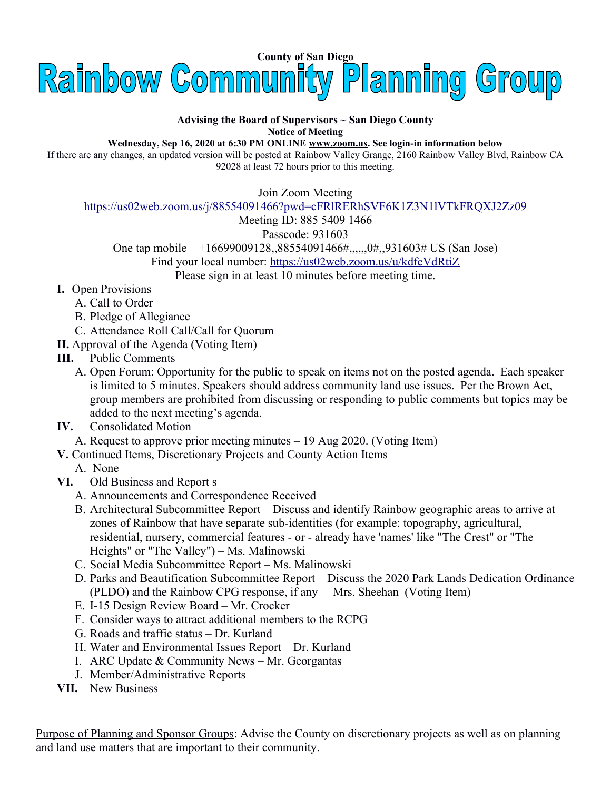

## **Advising the Board of Supervisors ~ San Diego County Notice of Meeting**

**Wednesday, Sep 16, 2020 at 6:30 PM ONLINE [www.zoom.us](http://www.zoom.us/). See login-in information below**

If there are any changes, an updated version will be posted at Rainbow Valley Grange, 2160 Rainbow Valley Blvd, Rainbow CA 92028 at least 72 hours prior to this meeting.

[Join Zoom Meeting](https://us02web.zoom.us/u/kw9LeDL4j)

<https://us02web.zoom.us/j/88554091466?pwd=cFRlRERhSVF6K1Z3N1lVTkFRQXJ2Zz09>

Meeting ID: 885 5409 1466

Passcode: 931603

One tap mobile +16699009128,,88554091466#,,,,,,0#,,931603# US (San Jose) Find your local number: [https://us02web.zoom.us/u/kdfeVdRtiZ](https://us02web.zoom.us/j/88554091466?pwd=cFRlRERhSVF6K1Z3N1lVTkFRQXJ2Zz09)

Please sign in at least 10 minutes before meeting time.

- **I.** Open Provisions
	- A. Call to Order
	- B. Pledge of Allegiance
	- C. Attendance Roll Call/Call for Quorum
- **II.** Approval of the Agenda (Voting Item)
- **III.** Public Comments
	- A. Open Forum: Opportunity for the public to speak on items not on the posted agenda. Each speaker is limited to 5 minutes. Speakers should address community land use issues. Per the Brown Act, group members are prohibited from discussing or responding to public comments but topics may be added to the next meeting's agenda.
- **IV.** Consolidated Motion
	- A. Request to approve prior meeting minutes 19 Aug 2020. (Voting Item)
- **V.** Continued Items, Discretionary Projects and County Action Items
	- A. None
- **VI.** Old Business and Report s
	- A. Announcements and Correspondence Received
	- B. Architectural Subcommittee Report Discuss and identify Rainbow geographic areas to arrive at zones of Rainbow that have separate sub-identities (for example: topography, agricultural, residential, nursery, commercial features - or - already have 'names' like "The Crest" or "The Heights" or "The Valley") – Ms. Malinowski
	- C. Social Media Subcommittee Report Ms. Malinowski
	- D. Parks and Beautification Subcommittee Report Discuss the 2020 Park Lands Dedication Ordinance (PLDO) and the Rainbow CPG response, if any – Mrs. Sheehan (Voting Item)
	- E. I-15 Design Review Board Mr. Crocker
	- F. Consider ways to attract additional members to the RCPG
	- G. Roads and traffic status Dr. Kurland
	- H. Water and Environmental Issues Report Dr. Kurland
	- I. ARC Update & Community News Mr. Georgantas
	- J. Member/Administrative Reports
- **VII.** New Business

Purpose of Planning and Sponsor Groups: Advise the County on discretionary projects as well as on planning and land use matters that are important to their community.